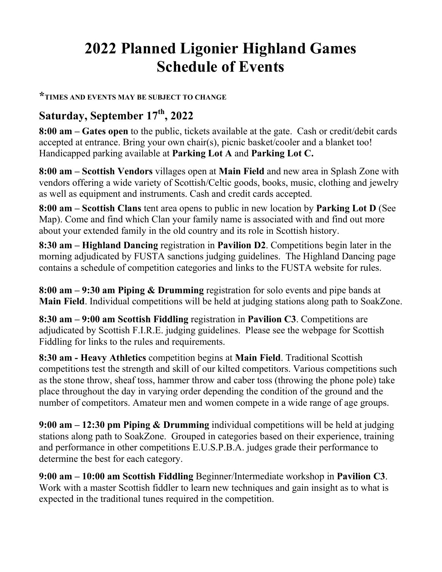# **2022 Planned Ligonier Highland Games Schedule of Events**

#### **\*TIMES AND EVENTS MAY BE SUBJECT TO CHANGE**

## **Saturday, September 17th, 2022**

**8:00 am – Gates open** to the public, tickets available at the gate. Cash or credit/debit cards accepted at entrance. Bring your own chair(s), picnic basket/cooler and a blanket too! Handicapped parking available at **Parking Lot A** and **Parking Lot C.**

**8:00 am – Scottish Vendors** villages open at **Main Field** and new area in Splash Zone with vendors offering a wide variety of Scottish/Celtic goods, books, music, clothing and jewelry as well as equipment and instruments. Cash and credit cards accepted.

**8:00 am – Scottish Clans** tent area opens to public in new location by **Parking Lot D** (See Map). Come and find which Clan your family name is associated with and find out more about your extended family in the old country and its role in Scottish history.

**8:30 am – Highland Dancing** registration in **Pavilion D2**. Competitions begin later in the morning adjudicated by FUSTA sanctions judging guidelines. The Highland Dancing page contains a schedule of competition categories and links to the FUSTA website for rules.

**8:00 am – 9:30 am Piping & Drumming** registration for solo events and pipe bands at **Main Field**. Individual competitions will be held at judging stations along path to SoakZone.

**8:30 am – 9:00 am Scottish Fiddling** registration in **Pavilion C3**. Competitions are adjudicated by Scottish F.I.R.E. judging guidelines. Please see the webpage for Scottish Fiddling for links to the rules and requirements.

**8:30 am - Heavy Athletics** competition begins at **Main Field**. Traditional Scottish competitions test the strength and skill of our kilted competitors. Various competitions such as the stone throw, sheaf toss, hammer throw and caber toss (throwing the phone pole) take place throughout the day in varying order depending the condition of the ground and the number of competitors. Amateur men and women compete in a wide range of age groups.

**9:00 am – 12:30 pm Piping & Drumming** individual competitions will be held at judging stations along path to SoakZone. Grouped in categories based on their experience, training and performance in other competitions E.U.S.P.B.A. judges grade their performance to determine the best for each category.

**9:00 am – 10:00 am Scottish Fiddling** Beginner/Intermediate workshop in **Pavilion C3**. Work with a master Scottish fiddler to learn new techniques and gain insight as to what is expected in the traditional tunes required in the competition.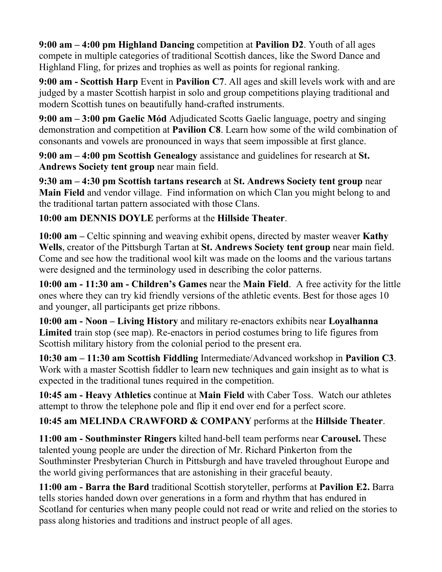**9:00 am – 4:00 pm Highland Dancing** competition at **Pavilion D2**. Youth of all ages compete in multiple categories of traditional Scottish dances, like the Sword Dance and Highland Fling, for prizes and trophies as well as points for regional ranking.

**9:00 am - Scottish Harp** Event in **Pavilion C7**. All ages and skill levels work with and are judged by a master Scottish harpist in solo and group competitions playing traditional and modern Scottish tunes on beautifully hand-crafted instruments.

**9:00 am – 3:00 pm Gaelic Mód** Adjudicated Scotts Gaelic language, poetry and singing demonstration and competition at **Pavilion C8**. Learn how some of the wild combination of consonants and vowels are pronounced in ways that seem impossible at first glance.

**9:00 am – 4:00 pm Scottish Genealogy** assistance and guidelines for research at **St. Andrews Society tent group** near main field.

**9:30 am – 4:30 pm Scottish tartans research** at **St. Andrews Society tent group** near **Main Field** and vendor village. Find information on which Clan you might belong to and the traditional tartan pattern associated with those Clans.

**10:00 am DENNIS DOYLE** performs at the **Hillside Theater**.

**10:00 am –** Celtic spinning and weaving exhibit opens, directed by master weaver **Kathy Wells**, creator of the Pittsburgh Tartan at **St. Andrews Society tent group** near main field. Come and see how the traditional wool kilt was made on the looms and the various tartans were designed and the terminology used in describing the color patterns.

**10:00 am - 11:30 am - Children's Games** near the **Main Field**. A free activity for the little ones where they can try kid friendly versions of the athletic events. Best for those ages 10 and younger, all participants get prize ribbons.

**10:00 am - Noon – Living History** and military re-enactors exhibits near **Loyalhanna Limited** train stop (see map). Re-enactors in period costumes bring to life figures from Scottish military history from the colonial period to the present era.

**10:30 am – 11:30 am Scottish Fiddling** Intermediate/Advanced workshop in **Pavilion C3**. Work with a master Scottish fiddler to learn new techniques and gain insight as to what is expected in the traditional tunes required in the competition.

**10:45 am - Heavy Athletics** continue at **Main Field** with Caber Toss. Watch our athletes attempt to throw the telephone pole and flip it end over end for a perfect score.

#### **10:45 am MELINDA CRAWFORD & COMPANY** performs at the **Hillside Theater**.

**11:00 am - Southminster Ringers** kilted hand-bell team performs near **Carousel.** These talented young people are under the direction of Mr. Richard Pinkerton from the Southminster Presbyterian Church in Pittsburgh and have traveled throughout Europe and the world giving performances that are astonishing in their graceful beauty.

**11:00 am - Barra the Bard** traditional Scottish storyteller, performs at **Pavilion E2.** Barra tells stories handed down over generations in a form and rhythm that has endured in Scotland for centuries when many people could not read or write and relied on the stories to pass along histories and traditions and instruct people of all ages.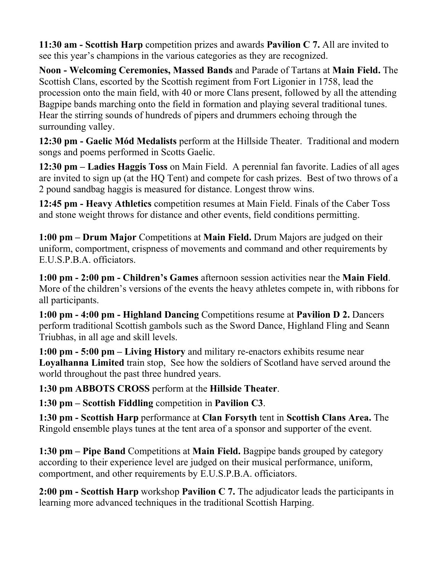**11:30 am - Scottish Harp** competition prizes and awards **Pavilion C 7.** All are invited to see this year's champions in the various categories as they are recognized.

**Noon - Welcoming Ceremonies, Massed Bands** and Parade of Tartans at **Main Field.** The Scottish Clans, escorted by the Scottish regiment from Fort Ligonier in 1758, lead the procession onto the main field, with 40 or more Clans present, followed by all the attending Bagpipe bands marching onto the field in formation and playing several traditional tunes. Hear the stirring sounds of hundreds of pipers and drummers echoing through the surrounding valley.

**12:30 pm - Gaelic Mód Medalists** perform at the Hillside Theater. Traditional and modern songs and poems performed in Scotts Gaelic.

**12:30 pm – Ladies Haggis Toss** on Main Field. A perennial fan favorite. Ladies of all ages are invited to sign up (at the HQ Tent) and compete for cash prizes. Best of two throws of a 2 pound sandbag haggis is measured for distance. Longest throw wins.

**12:45 pm - Heavy Athletics** competition resumes at Main Field. Finals of the Caber Toss and stone weight throws for distance and other events, field conditions permitting.

**1:00 pm – Drum Major** Competitions at **Main Field.** Drum Majors are judged on their uniform, comportment, crispness of movements and command and other requirements by E.U.S.P.B.A. officiators.

**1:00 pm - 2:00 pm - Children's Games** afternoon session activities near the **Main Field**. More of the children's versions of the events the heavy athletes compete in, with ribbons for all participants.

**1:00 pm - 4:00 pm - Highland Dancing** Competitions resume at **Pavilion D 2.** Dancers perform traditional Scottish gambols such as the Sword Dance, Highland Fling and Seann Triubhas, in all age and skill levels.

**1:00 pm - 5:00 pm – Living History** and military re-enactors exhibits resume near **Loyalhanna Limited** train stop, See how the soldiers of Scotland have served around the world throughout the past three hundred years.

**1:30 pm ABBOTS CROSS** perform at the **Hillside Theater**.

**1:30 pm – Scottish Fiddling** competition in **Pavilion C3**.

**1:30 pm - Scottish Harp** performance at **Clan Forsyth** tent in **Scottish Clans Area.** The Ringold ensemble plays tunes at the tent area of a sponsor and supporter of the event.

**1:30 pm – Pipe Band** Competitions at **Main Field.** Bagpipe bands grouped by category according to their experience level are judged on their musical performance, uniform, comportment, and other requirements by E.U.S.P.B.A. officiators.

**2:00 pm - Scottish Harp** workshop **Pavilion C 7.** The adjudicator leads the participants in learning more advanced techniques in the traditional Scottish Harping.